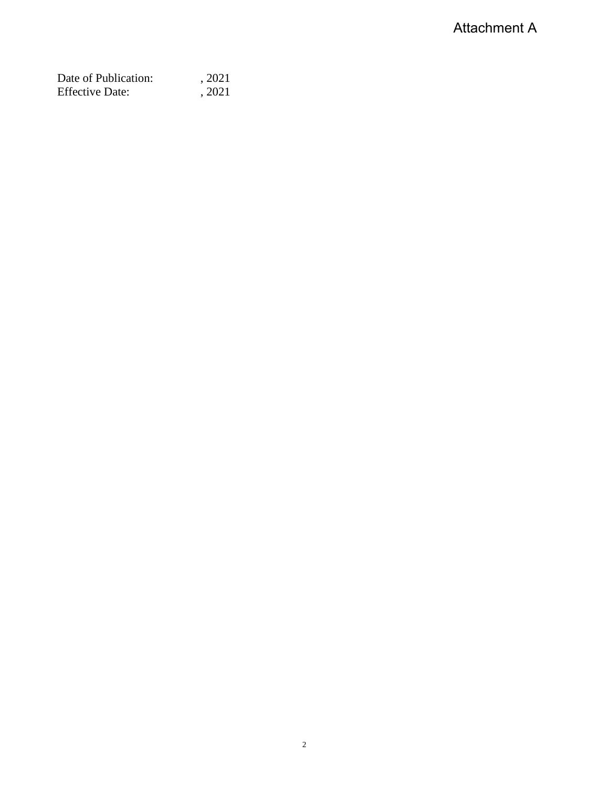| Date of Publication:   | , 2021 |
|------------------------|--------|
| <b>Effective Date:</b> | , 2021 |